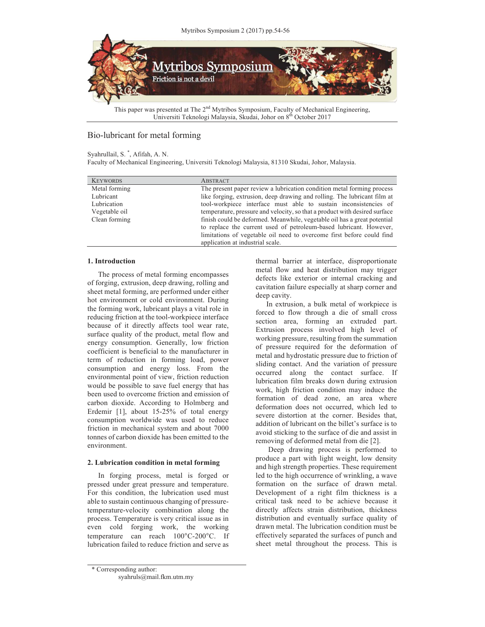

Universiti Teknologi Malaysia, Skudai, Johor on 8th October 2017

# Bio-lubricant for metal forming

## Syahrullail, S. \* , Afifah, A. N.

Faculty of Mechanical Engineering, Universiti Teknologi Malaysia, 81310 Skudai, Johor, Malaysia.

| <b>KEYWORDS</b> | <b>ABSTRACT</b>                                                            |
|-----------------|----------------------------------------------------------------------------|
| Metal forming   | The present paper review a lubrication condition metal forming process     |
| Lubricant       | like forging, extrusion, deep drawing and rolling. The lubricant film at   |
| Lubrication     | tool-workpiece interface must able to sustain inconsistencies of           |
| Vegetable oil   | temperature, pressure and velocity, so that a product with desired surface |
| Clean forming   | finish could be deformed. Meanwhile, vegetable oil has a great potential   |
|                 | to replace the current used of petroleum-based lubricant. However,         |
|                 | limitations of vegetable oil need to overcome first before could find      |
|                 | application at industrial scale.                                           |

## **1. Introduction**

The process of metal forming encompasses of forging, extrusion, deep drawing, rolling and sheet metal forming, are performed under either hot environment or cold environment. During the forming work, lubricant plays a vital role in reducing friction at the tool-workpiece interface because of it directly affects tool wear rate, surface quality of the product, metal flow and energy consumption. Generally, low friction coefficient is beneficial to the manufacturer in term of reduction in forming load, power consumption and energy loss. From the environmental point of view, friction reduction would be possible to save fuel energy that has been used to overcome friction and emission of carbon dioxide. According to Holmberg and Erdemir [1], about 15-25% of total energy consumption worldwide was used to reduce friction in mechanical system and about 7000 tonnes of carbon dioxide has been emitted to the environment.

# **2. Lubrication condition in metal forming**

In forging process, metal is forged or pressed under great pressure and temperature. For this condition, the lubrication used must able to sustain continuous changing of pressuretemperature-velocity combination along the process. Temperature is very critical issue as in even cold forging work, the working temperature can reach 100°C-200°C. If lubrication failed to reduce friction and serve as

thermal barrier at interface, disproportionate metal flow and heat distribution may trigger defects like exterior or internal cracking and cavitation failure especially at sharp corner and deep cavity.

In extrusion, a bulk metal of workpiece is forced to flow through a die of small cross section area, forming an extruded part. Extrusion process involved high level of working pressure, resulting from the summation of pressure required for the deformation of metal and hydrostatic pressure due to friction of sliding contact. And the variation of pressure occurred along the contact surface. If lubrication film breaks down during extrusion work, high friction condition may induce the formation of dead zone, an area where deformation does not occurred, which led to severe distortion at the corner. Besides that, addition of lubricant on the billet's surface is to avoid sticking to the surface of die and assist in removing of deformed metal from die [2].

 Deep drawing process is performed to produce a part with light weight, low density and high strength properties. These requirement led to the high occurrence of wrinkling, a wave formation on the surface of drawn metal. Development of a right film thickness is a critical task need to be achieve because it directly affects strain distribution, thickness distribution and eventually surface quality of drawn metal. The lubrication condition must be effectively separated the surfaces of punch and sheet metal throughout the process. This is

<sup>\*</sup> Corresponding author:

syahruls@mail.fkm.utm.my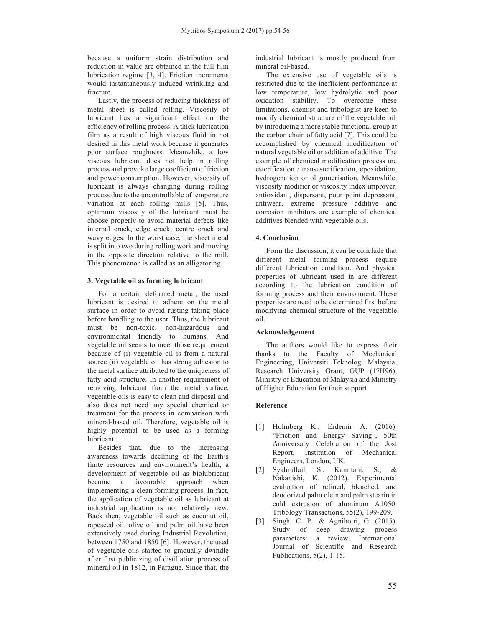because a uniform strain distribution and reduction in value are obtained in the full film lubrication regime [3, 4]. Friction increments would instantaneously induced wrinkling and fracture.

Lastly, the process of reducing thickness of metal sheet is called rolling. Viscosity of lubricant has a significant effect on the efficiency of rolling process. A thick lubrication film as a result of high viscous fluid in not desired in this metal work because it generates poor surface roughness. Meanwhile, a low viscous lubricant does not help in rolling process and provoke large coefficient of friction and power consumption. However, viscosity of lubricant is always changing during rolling process due to the uncontrollable of temperature variation at each rolling mills [5]. Thus, optimum viscosity of the lubricant must be choose properly to avoid material defects like internal crack, edge crack, centre crack and wavy edges. In the worst case, the sheet metal is split into two during rolling work and moving in the opposite direction relative to the mill. This phenomenon is called as an alligatoring.

#### **3. Vegetable oil as forming lubricant**

For a certain deformed metal, the used lubricant is desired to adhere on the metal surface in order to avoid rusting taking place before handling to the user. Thus, the lubricant must be non-toxic, non-hazardous and environmental friendly to humans. And vegetable oil seems to meet those requirement because of (i) vegetable oil is from a natural source (ii) vegetable oil has strong adhesion to the metal surface attributed to the uniqueness of fatty acid structure. In another requirement of removing lubricant from the metal surface, vegetable oils is easy to clean and disposal and also does not need any special chemical or treatment for the process in comparison with mineral-based oil. Therefore, vegetable oil is highly potential to be used as a forming lubricant.

Besides that, due to the increasing awareness towards declining of the Earth's finite resources and environment's health, a development of vegetable oil as biolubricant become a favourable approach when implementing a clean forming process. In fact, the application of vegetable oil as lubricant at industrial application is not relatively new. Back then, vegetable oil such as coconut oil, rapeseed oil, olive oil and palm oil have been extensively used during Industrial Revolution, between 1750 and 1850 [6]. However, the used of vegetable oils started to gradually dwindle after first publicizing of distillation process of mineral oil in 1812, in Parague. Since that, the

industrial lubricant is mostly produced from mineral oil-based.

The extensive use of vegetable oils is restricted due to the inefficient performance at low temperature, low hydrolytic and poor oxidation stability. To overcome these limitations, chemist and tribologist are keen to modify chemical structure of the vegetable oil, by introducing a more stable functional group at the carbon chain of fatty acid [7]. This could be accomplished by chemical modification of natural vegetable oil or addition of additive. The example of chemical modification process are esterification / transesterification, epoxidation, hydrogenation or oligomerisation. Meanwhile, viscosity modifier or viscosity index improver, antioxidant, dispersant, pour point depressant, antiwear, extreme pressure additive and corrosion inhibitors are example of chemical additives blended with vegetable oils.

## **4. Conclusion**

Form the discussion, it can be conclude that different metal forming process require different lubrication condition. And physical properties of lubricant used in are different according to the lubrication condition of forming process and their environment. These properties are need to be determined first before modifying chemical structure of the vegetable oil.

#### **Acknowledgement**

The authors would like to express their thanks to the Faculty of Mechanical Engineering, Universiti Teknologi Malaysia, Research University Grant, GUP (17H96), Ministry of Education of Malaysia and Ministry of Higher Education for their support.

# **Reference**

- [1] Holmberg K., Erdemir A. (2016). "Friction and Energy Saving", 50th Anniversary Celebration of the Jost Report, Institution of Mechanical Engineers, London, UK.
- [2] Syahrullail, S., Kamitani, S., & Nakanishi, K. (2012). Experimental evaluation of refined, bleached, and deodorized palm olein and palm stearin in cold extrusion of aluminum A1050. Tribology Transactions, 55(2), 199-209.
- [3] Singh, C. P., & Agnihotri, G. (2015). Study of deep drawing process parameters: a review. International Journal of Scientific and Research Publications, 5(2), 1-15.